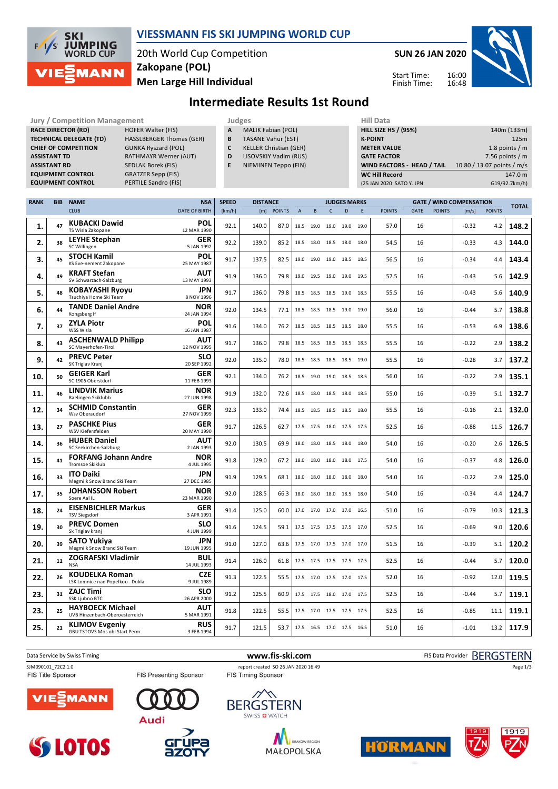

#### **VIESSMANN FIS SKI JUMPING WORLD CUP**

20th World Cup Competition **Men Large Hill Individual Zakopane (POL)**

**Jury / Competition Management Management According Service Computer Service Computer Service Computer Service Computer Service Computer Service Computer Service Computer Service Computer Service Computer Service Computer** 

**SUN 26 JAN 2020**



Start Time: Finish Time:

## **Intermediate Results 1st Round**

|             | <b>ASSISTANT TD</b><br><b>ASSISTANT RD</b> | <b>RACE DIRECTOR (RD)</b><br><b>TECHNICAL DELEGATE (TD)</b><br><b>CHIEF OF COMPETITION</b><br><b>EQUIPMENT CONTROL</b><br><b>EQUIPMENT CONTROL</b> | <b>MALIK Fabian (POL)</b><br>Α<br><b>TASANE Vahur (EST)</b><br>В<br>C<br><b>KELLER Christian (GER)</b><br>D<br>LISOVSKIY Vadim (RUS)<br>E<br>NIEMINEN Teppo (FIN) |                |                                        |                       |                        |                                         |              |                          | <b>HILL SIZE HS / (95%)</b><br><b>K-POINT</b><br><b>METER VALUE</b><br><b>GATE FACTOR</b><br><b>WC Hill Record</b><br>(25 JAN 2020 SATO Y. JPN | WIND FACTORS - HEAD / TAIL      | 140m (133m)<br>125m<br>1.8 points $/m$<br>7.56 points $/m$<br>10.80 / 13.07 points / m/s<br>147.0 m<br>G19/92.7km/h) |                  |                      |       |
|-------------|--------------------------------------------|----------------------------------------------------------------------------------------------------------------------------------------------------|-------------------------------------------------------------------------------------------------------------------------------------------------------------------|----------------|----------------------------------------|-----------------------|------------------------|-----------------------------------------|--------------|--------------------------|------------------------------------------------------------------------------------------------------------------------------------------------|---------------------------------|----------------------------------------------------------------------------------------------------------------------|------------------|----------------------|-------|
| <b>RANK</b> | <b>BIB</b>                                 | <b>NAME</b>                                                                                                                                        | <b>NSA</b>                                                                                                                                                        | <b>SPEED</b>   | <b>DISTANCE</b><br><b>JUDGES MARKS</b> |                       |                        |                                         |              |                          |                                                                                                                                                | <b>GATE / WIND COMPENSATION</b> |                                                                                                                      |                  | <b>TOTAL</b>         |       |
|             | 47                                         | <b>CLUB</b><br><b>KUBACKI Dawid</b>                                                                                                                | <b>DATE OF BIRTH</b><br>POL                                                                                                                                       | [km/h]<br>92.1 | [m]<br>140.0                           | <b>POINTS</b><br>87.0 | $\overline{A}$<br>18.5 | B<br>19.0 19.0                          | $\mathsf{C}$ | D<br>19.0                | E.<br>19.0                                                                                                                                     | <b>POINTS</b><br>57.0           | GATE<br><b>POINTS</b><br>16                                                                                          | [m/s]<br>$-0.32$ | <b>POINTS</b><br>4.2 | 148.2 |
| 1.<br>2.    | 38                                         | TS Wisla Zakopane<br><b>LEYHE Stephan</b>                                                                                                          | 12 MAR 1990<br>GER                                                                                                                                                | 92.2           | 139.0                                  | 85.2                  | 18.5                   | 18.0 18.5 18.0                          |              |                          | 18.0                                                                                                                                           | 54.5                            | 16                                                                                                                   | $-0.33$          | 4.3                  | 144.0 |
|             | 45                                         | SC Willingen<br><b>STOCH Kamil</b>                                                                                                                 | 5 JAN 1992<br>POL                                                                                                                                                 | 91.7           |                                        | 82.5                  | 19.0                   |                                         |              |                          | 18.5                                                                                                                                           | 56.5                            |                                                                                                                      | $-0.34$          |                      |       |
| 3.          |                                            | KS Eve-nement Zakopane<br>KRAFT Stefan                                                                                                             | 25 MAY 1987<br><b>AUT</b>                                                                                                                                         |                | 137.5                                  |                       |                        | 19.0 19.0 18.5                          |              |                          |                                                                                                                                                |                                 | 16                                                                                                                   |                  | 4.4                  | 143.4 |
| 4.          | 49                                         | SV Schwarzach-Salzburg<br>KOBAYASHI Ryoyu                                                                                                          | 13 MAY 1993<br>JPN                                                                                                                                                | 91.9           | 136.0                                  | 79.8                  |                        | 19.0 19.5 19.0 19.0                     |              |                          | 19.5                                                                                                                                           | 57.5                            | 16                                                                                                                   | $-0.43$          | 5.6                  | 142.9 |
| 5.          | 48                                         | Tsuchiya Home Ski Team<br><b>TANDE Daniel Andre</b>                                                                                                | 8 NOV 1996<br><b>NOR</b>                                                                                                                                          | 91.7           | 136.0                                  | 79.8                  |                        | 18.5 18.5 18.5 19.0                     |              |                          | 18.5                                                                                                                                           | 55.5                            | 16                                                                                                                   | $-0.43$          | 5.6                  | 140.9 |
| 6.          | 44                                         | Kongsberg If                                                                                                                                       | 24 JAN 1994                                                                                                                                                       | 92.0           | 134.5                                  | 77.1                  |                        | 18.5 18.5 18.5 19.0                     |              |                          | 19.0                                                                                                                                           | 56.0                            | 16                                                                                                                   | $-0.44$          | 5.7                  | 138.8 |
| 7.          | 37                                         | <b>ZYLA Piotr</b><br>WSS Wisla                                                                                                                     | <b>POL</b><br>16 JAN 1987                                                                                                                                         | 91.6           | 134.0                                  | 76.2                  |                        | 18.5 18.5 18.5 18.5                     |              |                          | 18.0                                                                                                                                           | 55.5                            | 16                                                                                                                   | $-0.53$          | 6.9                  | 138.6 |
| 8.          | 43                                         | <b>ASCHENWALD Philipp</b><br>SC Mayerhofen-Tirol                                                                                                   | <b>AUT</b><br>12 NOV 1995                                                                                                                                         | 91.7           | 136.0                                  | 79.8                  |                        | 18.5 18.5 18.5 18.5                     |              |                          | 18.5                                                                                                                                           | 55.5                            | 16                                                                                                                   | $-0.22$          | 2.9                  | 138.2 |
| 9.          | 42                                         | <b>PREVC Peter</b><br>SK Triglav Kranj                                                                                                             | <b>SLO</b><br>20 SEP 1992                                                                                                                                         | 92.0           | 135.0                                  | 78.0                  |                        | 18.5 18.5 18.5 18.5                     |              |                          | 19.0                                                                                                                                           | 55.5                            | 16                                                                                                                   | $-0.28$          | 3.7                  | 137.2 |
| 10.         | 50                                         | <b>GEIGER Karl</b><br>SC 1906 Oberstdorf                                                                                                           | <b>GER</b><br>11 FEB 1993                                                                                                                                         | 92.1           | 134.0                                  | 76.2                  |                        | 18.5 19.0 19.0 18.5                     |              |                          | 18.5                                                                                                                                           | 56.0                            | 16                                                                                                                   | $-0.22$          | 2.9                  | 135.1 |
| 11.         | 46                                         | <b>LINDVIK Marius</b><br>Raelingen Skiklubb                                                                                                        | <b>NOR</b><br>27 JUN 1998                                                                                                                                         | 91.9           | 132.0                                  | 72.6                  |                        | 18.5 18.0 18.5 18.0                     |              |                          | 18.5                                                                                                                                           | 55.0                            | 16                                                                                                                   | $-0.39$          | 5.1                  | 132.7 |
| 12.         | 34                                         | <b>SCHMID Constantin</b><br>Wsv Oberaudorf                                                                                                         | <b>GER</b><br>27 NOV 1999                                                                                                                                         | 92.3           | 133.0                                  | 74.4                  |                        | 18.5 18.5 18.5 18.5                     |              |                          | 18.0                                                                                                                                           | 55.5                            | 16                                                                                                                   | $-0.16$          | 2.1                  | 132.0 |
| 13.         | 27                                         | <b>PASCHKE Pius</b><br>WSV Kiefersfelden                                                                                                           | <b>GER</b><br>20 MAY 1990                                                                                                                                         | 91.7           | 126.5                                  | 62.7                  |                        |                                         |              | 17.5 17.5 18.0 17.5 17.5 |                                                                                                                                                | 52.5                            | 16                                                                                                                   | $-0.88$          | 11.5                 | 126.7 |
| 14.         | 36                                         | <b>HUBER Daniel</b><br>SC Seekirchen-Salzburg                                                                                                      | <b>AUT</b><br>2 JAN 1993                                                                                                                                          | 92.0           | 130.5                                  | 69.9                  |                        | 18.0 18.0 18.5 18.0                     |              |                          | 18.0                                                                                                                                           | 54.0                            | 16                                                                                                                   | $-0.20$          | 2.6                  | 126.5 |
| 15.         | 41                                         | <b>FORFANG Johann Andre</b><br><b>Tromsoe Skiklub</b>                                                                                              | <b>NOR</b><br>4 JUL 1995                                                                                                                                          | 91.8           | 129.0                                  | 67.2                  |                        | 18.0 18.0 18.0 18.0                     |              |                          | 17.5                                                                                                                                           | 54.0                            | 16                                                                                                                   | $-0.37$          | 4.8                  | 126.0 |
| 16.         | 33                                         | <b>ITO Daiki</b><br>Megmilk Snow Brand Ski Team                                                                                                    | JPN<br>27 DEC 1985                                                                                                                                                | 91.9           | 129.5                                  | 68.1                  |                        | 18.0 18.0 18.0 18.0                     |              |                          | 18.0                                                                                                                                           | 54.0                            | 16                                                                                                                   | $-0.22$          | 2.9                  | 125.0 |
| 17.         | 35                                         | <b>JOHANSSON Robert</b><br>Soere Aal IL                                                                                                            | <b>NOR</b><br>23 MAR 1990                                                                                                                                         | 92.0           | 128.5                                  | 66.3                  |                        | 18.0 18.0 18.0 18.5                     |              |                          | 18.0                                                                                                                                           | 54.0                            | 16                                                                                                                   | $-0.34$          | 4.4                  | 124.7 |
| 18.         | 24                                         | <b>EISENBICHLER Markus</b><br><b>TSV Siegsdorf</b>                                                                                                 | GER<br>3 APR 1991                                                                                                                                                 | 91.4           | 125.0                                  | 60.0                  |                        |                                         |              | 17.0 17.0 17.0 17.0 16.5 |                                                                                                                                                | 51.0                            | 16                                                                                                                   | $-0.79$          | 10.3                 | 121.3 |
| 19.         | 30                                         | <b>PREVC Domen</b><br>Sk Triglav kranj                                                                                                             | <b>SLO</b><br>4 JUN 1999                                                                                                                                          | 91.6           | 124.5                                  | 59.1                  |                        |                                         |              | 17.5 17.5 17.5 17.5 17.0 |                                                                                                                                                | 52.5                            | 16                                                                                                                   | $-0.69$          | 9.0                  | 120.6 |
| 20.         | 39                                         | <b>SATO Yukiva</b><br>Megmilk Snow Brand Ski Team                                                                                                  | <b>JPN</b><br>19 JUN 1995                                                                                                                                         | 91.0           | 127.0                                  | 63.6                  |                        | $17.5 \quad 17.0 \quad 17.5 \quad 17.0$ |              |                          | 17.0                                                                                                                                           | 51.5                            | 16                                                                                                                   | $-0.39$          | 5.1                  | 120.2 |
| 21.         | 11                                         | <b>ZOGRAFSKI Vladimir</b><br><b>NSA</b>                                                                                                            | BUL<br>14 JUL 1993                                                                                                                                                | 91.4           | 126.0                                  | 61.8                  |                        |                                         |              | 17.5 17.5 17.5 17.5 17.5 |                                                                                                                                                | 52.5                            | 16                                                                                                                   | $-0.44$          | 5.7                  | 120.0 |
| 22.         | 26                                         | <b>KOUDELKA Roman</b><br>LSK Lomnice nad Popelkou - Dukla                                                                                          | <b>CZE</b><br>9 JUL 1989                                                                                                                                          | 91.3           | 122.5                                  | 55.5                  |                        |                                         |              | 17.5 17.0 17.5 17.0 17.5 |                                                                                                                                                | 52.0                            | 16                                                                                                                   | $-0.92$          | 12.0                 | 119.5 |
| 23.         | 31                                         | <b>ZAJC Timi</b><br>SSK Ljubno BTC                                                                                                                 | <b>SLO</b><br>26 APR 2000                                                                                                                                         | 91.2           | 125.5                                  | 60.9                  |                        |                                         |              | 17.5 17.5 18.0 17.0 17.5 |                                                                                                                                                | 52.5                            | 16                                                                                                                   | $-0.44$          | 5.7                  | 119.1 |
| 23.         | 25                                         | <b>HAYBOECK Michael</b><br>UVB Hinzenbach-Oberoesterreich                                                                                          | <b>AUT</b><br>5 MAR 1991                                                                                                                                          | 91.8           | 122.5                                  | 55.5                  |                        |                                         |              | 17.5 17.0 17.5 17.5 17.5 |                                                                                                                                                | 52.5                            | 16                                                                                                                   | $-0.85$          | 11.1                 | 119.1 |
| 25.         | 21                                         | <b>KLIMOV Evgeniy</b><br>GBU TSTOVS Mos obl Start Perm                                                                                             | <b>RUS</b><br>3 FEB 1994                                                                                                                                          | 91.7           | 121.5                                  | 53.7                  |                        |                                         |              | 17.5 16.5 17.0 17.5 16.5 |                                                                                                                                                | 51.0                            | 16                                                                                                                   | $-1.01$          | 13.2                 | 117.9 |





FIS Presenting Sponsor



Data Service by Swiss Timing **WWW.fis-ski.com www.fis-ski.com** FIS Data Provider BERGSTERN







Page 1/3



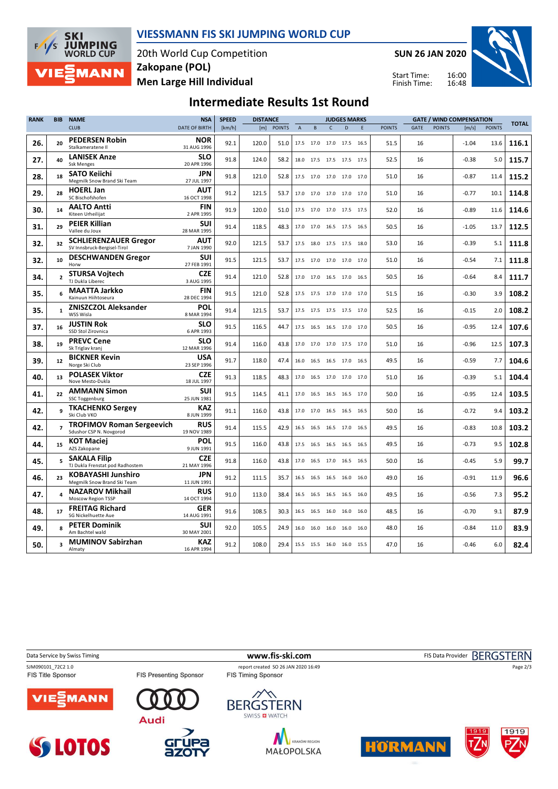

#### **VIESSMANN FIS SKI JUMPING WORLD CUP**

20th World Cup Competition **Men Large Hill Individual Zakopane (POL)**

**SUN 26 JAN 2020**

Start Time: Finish Time:



# **Intermediate Results 1st Round**

| <b>RANK</b> | <b>BIB</b>     | <b>NAME</b>                                                 | <b>NSA</b>                | <b>SPEED</b> | <b>DISTANCE</b> |               |             |                          |              | <b>JUDGES MARKS</b> |      |               |      |               | <b>GATE / WIND COMPENSATION</b> |               | <b>TOTAL</b> |
|-------------|----------------|-------------------------------------------------------------|---------------------------|--------------|-----------------|---------------|-------------|--------------------------|--------------|---------------------|------|---------------|------|---------------|---------------------------------|---------------|--------------|
|             |                | <b>CLUB</b>                                                 | <b>DATE OF BIRTH</b>      | [km/h]       | [m]             | <b>POINTS</b> | $\mathsf A$ | B                        | $\mathsf{C}$ | D                   | E    | <b>POINTS</b> | GATE | <b>POINTS</b> | [m/s]                           | <b>POINTS</b> |              |
| 26.         | 20             | <b>PEDERSEN Robin</b><br>Stalkameratene II                  | <b>NOR</b><br>31 AUG 1996 | 92.1         | 120.0           | 51.0          |             | 17.5 17.0                |              | 17.0 17.5 16.5      |      | 51.5          | 16   |               | $-1.04$                         | 13.6          | 116.1        |
| 27.         | 40             | <b>LANISEK Anze</b><br><b>Ssk Menges</b>                    | <b>SLO</b><br>20 APR 1996 | 91.8         | 124.0           | 58.2          |             | 18.0 17.5 17.5 17.5 17.5 |              |                     |      | 52.5          | 16   |               | $-0.38$                         | 5.0           | 115.7        |
| 28.         | 18             | <b>SATO Keiichi</b><br>Megmilk Snow Brand Ski Team          | <b>JPN</b><br>27 JUL 1997 | 91.8         | 121.0           | 52.8          |             | 17.5 17.0 17.0 17.0 17.0 |              |                     |      | 51.0          | 16   |               | $-0.87$                         | 11.4          | 115.2        |
| 29.         | 28             | <b>HOERL Jan</b><br>SC Bischofshofen                        | AUT<br>16 OCT 1998        | 91.2         | 121.5           | 53.7          |             | 17.0 17.0                |              | 17.0 17.0 17.0      |      | 51.0          | 16   |               | $-0.77$                         | 10.1          | 114.8        |
| 30.         | 14             | <b>AALTO Antti</b><br>Kiteen Urheilijat                     | <b>FIN</b><br>2 APR 1995  | 91.9         | 120.0           | 51.0          |             | 17.5 17.0                |              | 17.0 17.5 17.5      |      | 52.0          | 16   |               | $-0.89$                         | 11.6          | 114.6        |
| 31.         | 29             | <b>PEIER Killian</b><br>Vallee du Joux                      | SUI<br>28 MAR 1995        | 91.4         | 118.5           | 48.3          |             | 17.0 17.0                |              | 16.5 17.5 16.5      |      | 50.5          | 16   |               | $-1.05$                         | 13.7          | 112.5        |
| 32.         | 32             | <b>SCHLIERENZAUER Gregor</b><br>SV Innsbruck-Bergisel-Tirol | AUT<br>7 JAN 1990         | 92.0         | 121.5           | 53.7          |             | 17.5 18.0                |              | 17.5 17.5 18.0      |      | 53.0          | 16   |               | $-0.39$                         | 5.1           | 111.8        |
| 32.         | 10             | <b>DESCHWANDEN Gregor</b><br>Horw                           | <b>SUI</b><br>27 FEB 1991 | 91.5         | 121.5           | 53.7          |             | 17.5 17.0                |              | 17.0 17.0 17.0      |      | 51.0          | 16   |               | $-0.54$                         | 7.1           | 111.8        |
| 34.         | $\overline{2}$ | <b>STURSA Vojtech</b><br>TJ Dukla Liberec                   | <b>CZE</b><br>3 AUG 1995  | 91.4         | 121.0           | 52.8          |             | 17.0 17.0 16.5 17.0 16.5 |              |                     |      | 50.5          | 16   |               | $-0.64$                         | 8.4           | 111.7        |
| 35.         | 6              | <b>MAATTA Jarkko</b><br>Kainuun Hiihtoseura                 | <b>FIN</b><br>28 DEC 1994 | 91.5         | 121.0           | 52.8          |             | 17.5 17.5 17.0 17.0 17.0 |              |                     |      | 51.5          | 16   |               | $-0.30$                         | 3.9           | 108.2        |
| 35.         | $\mathbf{1}$   | <b>ZNISZCZOL Aleksander</b><br>WSS Wisla                    | POL<br>8 MAR 1994         | 91.4         | 121.5           | 53.7          |             | 17.5 17.5 17.5 17.5 17.0 |              |                     |      | 52.5          | 16   |               | $-0.15$                         | 2.0           | 108.2        |
| 37.         | 16             | <b>JUSTIN Rok</b><br>SSD Stol Zirovnica                     | <b>SLO</b><br>6 APR 1993  | 91.5         | 116.5           | 44.7          |             | 17.5 16.5 16.5 17.0 17.0 |              |                     |      | 50.5          | 16   |               | $-0.95$                         | 12.4          | 107.6        |
| 38.         | 19             | <b>PREVC Cene</b><br>Sk Triglav kranj                       | <b>SLO</b><br>12 MAR 1996 | 91.4         | 116.0           | 43.8          |             | 17.0 17.0 17.0 17.5 17.0 |              |                     |      | 51.0          | 16   |               | $-0.96$                         | 12.5          | 107.3        |
| 39.         | 12             | <b>BICKNER Kevin</b><br>Norge Ski Club                      | <b>USA</b><br>23 SEP 1996 | 91.7         | 118.0           | 47.4          |             | 16.0 16.5                |              | 16.5 17.0 16.5      |      | 49.5          | 16   |               | $-0.59$                         | 7.7           | 104.6        |
| 40.         | 13             | <b>POLASEK Viktor</b><br>Nove Mesto-Dukla                   | <b>CZE</b><br>18 JUL 1997 | 91.3         | 118.5           | 48.3          |             | 17.0 16.5                |              | 17.0 17.0 17.0      |      | 51.0          | 16   |               | $-0.39$                         | 5.1           | 104.4        |
| 41.         | 22             | <b>AMMANN Simon</b><br><b>SSC Toggenburg</b>                | SUI<br>25 JUN 1981        | 91.5         | 114.5           | 41.1          | 17.0        | 16.5                     | 16.5         | 16.5 17.0           |      | 50.0          | 16   |               | $-0.95$                         | 12.4          | 103.5        |
| 42.         | 9              | <b>TKACHENKO Sergev</b><br>Ski Club VKO                     | <b>KAZ</b><br>8 JUN 1999  | 91.1         | 116.0           | 43.8          |             | 17.0 17.0                |              | 16.5 16.5 16.5      |      | 50.0          | 16   |               | $-0.72$                         | 9.4           | 103.2        |
| 42.         |                | <b>TROFIMOV Roman Sergeevich</b><br>Sdushor CSP N. Novgorod | <b>RUS</b><br>19 NOV 1989 | 91.4         | 115.5           | 42.9          |             | 16.5 16.5 16.5 17.0 16.5 |              |                     |      | 49.5          | 16   |               | $-0.83$                         | 10.8          | 103.2        |
| 44.         | 15             | <b>KOT Maciej</b><br>AZS Zakopane                           | POL<br>9 JUN 1991         | 91.5         | 116.0           | 43.8          |             | 17.5 16.5 16.5 16.5 16.5 |              |                     |      | 49.5          | 16   |               | $-0.73$                         | 9.5           | 102.8        |
| 45.         | 5              | <b>SAKALA Filip</b><br>TJ Dukla Frenstat pod Radhostem      | <b>CZE</b><br>21 MAY 1996 | 91.8         | 116.0           | 43.8          |             | 17.0 16.5 17.0 16.5 16.5 |              |                     |      | 50.0          | 16   |               | $-0.45$                         | 5.9           | 99.7         |
| 46.         | 23             | <b>KOBAYASHI Junshiro</b><br>Megmilk Snow Brand Ski Team    | <b>JPN</b><br>11 JUN 1991 | 91.2         | 111.5           | 35.7          |             | 16.5 16.5                | 16.5 16.0    |                     | 16.0 | 49.0          | 16   |               | $-0.91$                         | 11.9          | 96.6         |
| 47.         | 4              | <b>NAZAROV Mikhail</b><br>Moscow Region TSSP                | <b>RUS</b><br>14 OCT 1994 | 91.0         | 113.0           | 38.4          |             | 16.5 16.5 16.5 16.5 16.0 |              |                     |      | 49.5          | 16   |               | $-0.56$                         | 7.3           | 95.2         |
| 48.         | 17             | <b>FREITAG Richard</b><br><b>SG Nickelhuette Aue</b>        | <b>GER</b><br>14 AUG 1991 | 91.6         | 108.5           | 30.3          |             | 16.5 16.5                | 16.0         | 16.0                | 16.0 | 48.5          | 16   |               | $-0.70$                         | 9.1           | 87.9         |
| 49.         | 8              | <b>PETER Dominik</b><br>Am Bachtel wald                     | SUI<br>30 MAY 2001        | 92.0         | 105.5           | 24.9          |             | 16.0 16.0                |              | 16.0 16.0 16.0      |      | 48.0          | 16   |               | $-0.84$                         | 11.0          | 83.9         |
| 50.         | 3              | <b>MUMINOV Sabirzhan</b><br>Almaty                          | <b>KAZ</b><br>16 APR 1994 | 91.2         | 108.0           | 29.4          |             | 15.5 15.5 16.0 16.0 15.5 |              |                     |      | 47.0          | 16   |               | $-0.46$                         | 6.0           | 82.4         |

Data Service by Swiss Timing **WWW.fis-ski.com www.fis-ski.com** FIS Data Provider BERGSTERN

FIS Presenting Sponsor

SJM090101\_72C2 1.0 report created SO 26 JAN 2020 16:49<br>FIS Title Sponsor FIS Timing Sponsor FIS Timing Sponsor



**SS LOTOS** 











Page 2/3